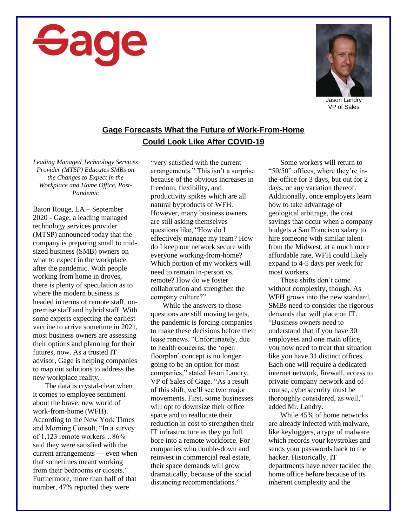



Jason Landry VP of Sales

## **Gage Forecasts What the Future of Work-From-Home Could Look Like After COVID-19**

*Leading Managed Technology Services Provider (MTSP) Educates SMBs on the Changes to Expect in the Workplace and Home Office, Post-Pandemic*

Baton Rouge, LA – September 2020 - Gage, a leading managed technology services provider (MTSP) announced today that the company is preparing small to midsized business (SMB) owners on what to expect in the workplace, after the pandemic. With people working from home in droves, there is plenty of speculation as to where the modern business is headed in terms of remote staff, onpremise staff and hybrid staff. With some experts expecting the earliest vaccine to arrive sometime in 2021, most business owners are assessing their options and planning for their futures, now. As a trusted IT advisor, Gage is helping companies to map out solutions to address the new workplace reality.

The data is crystal-clear when it comes to employee sentiment about the brave, new world of work-from-home (WFH). According to the New York Times and Morning Consult, "In a survey of 1,123 remote workers…86% said they were satisfied with the current arrangements — even when that sometimes meant working from their bedrooms or closets." Furthermore, more than half of that number, 47% reported they were

"very satisfied with the current arrangements." This isn't a surprise because of the obvious increases in freedom, flexibility, and productivity spikes which are all natural byproducts of WFH. However, many business owners are still asking themselves questions like, "How do I effectively manage my team? How do I keep our network secure with everyone working-from-home? Which portion of my workers will need to remain in-person vs. remote? How do we foster collaboration and strengthen the company culture?"

While the answers to those questions are still moving targets, the pandemic is forcing companies to make these decisions before their lease renews. "Unfortunately, due to health concerns, the 'open floorplan' concept is no longer going to be an option for most companies," stated Jason Landry, VP of Sales of Gage. "As a result of this shift, we'll see two major movements. First, some businesses will opt to downsize their office space and to reallocate their reduction in cost to strengthen their IT infrastructure as they go full bore into a remote workforce. For companies who double-down and reinvest in commercial real estate, their space demands will grow dramatically, because of the social distancing recommendations."

Some workers will return to "50/50" offices, where they're inthe-office for 3 days, but out for 2 days, or any variation thereof. Additionally, once employers learn how to take advantage of geological arbitrage, the cost savings that occur when a company budgets a San Francisco salary to hire someone with similar talent from the Midwest, at a much more affordable rate, WFH could likely expand to 4-5 days per week for most workers.

These shifts don't come without complexity, though. As WFH grows into the new standard, SMBs need to consider the rigorous demands that will place on IT. "Business owners need to understand that if you have 30 employees and one main office, you now need to treat that situation like you have 31 distinct offices. Each one will require a dedicated internet network, firewall, access to private company network and of course, cybersecurity must be thoroughly considered, as well," added Mr. Landry.

While 45% of home networks are already infected with malware, like keyloggers, a type of malware which records your keystrokes and sends your passwords back to the hacker. Historically, IT departments have never tackled the home office before because of its inherent complexity and the